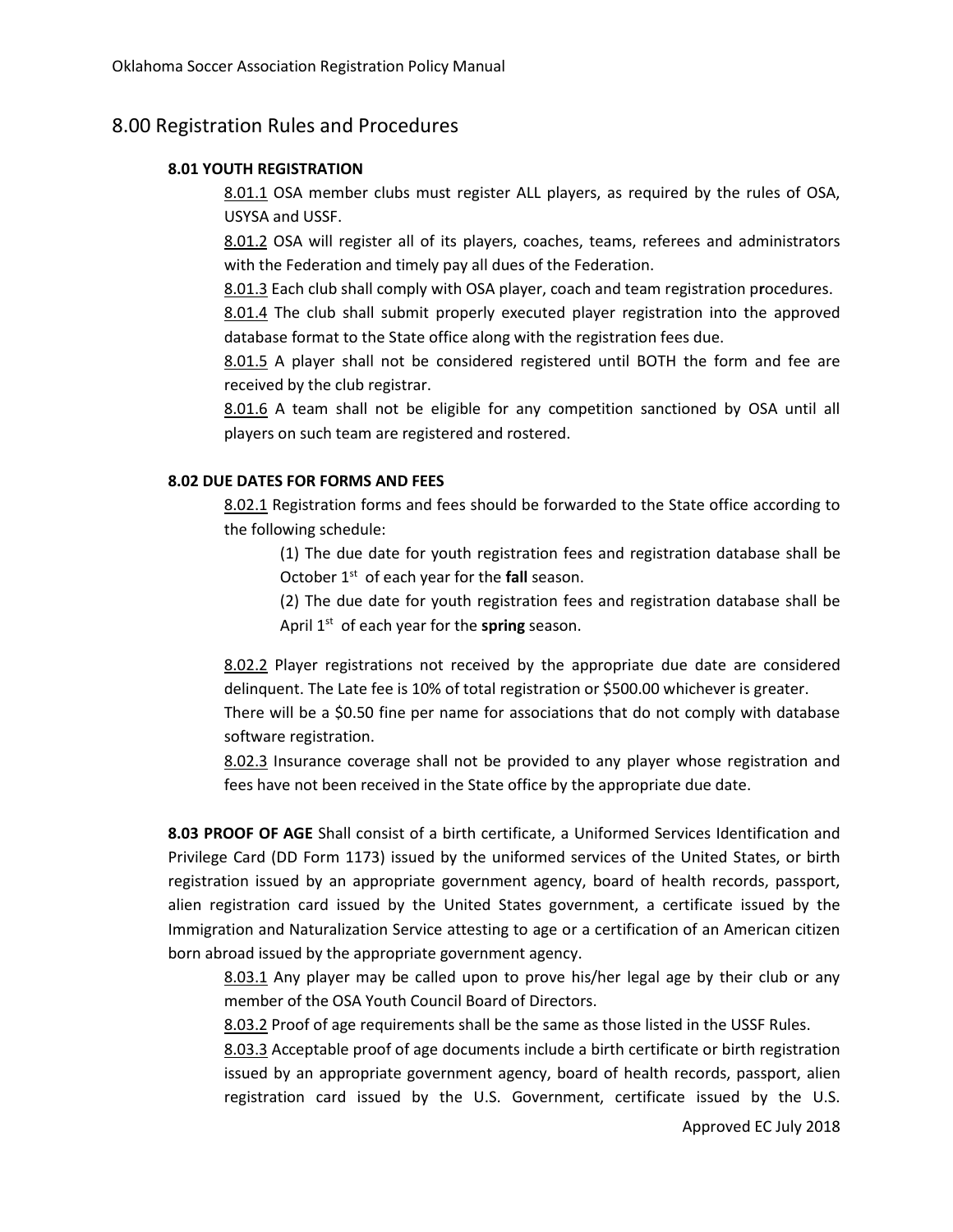# 8.00 Registration Rules and Procedures

#### **8.01 YOUTH REGISTRATION**

8.01.1 OSA member clubs must register ALL players, as required by the rules of OSA, USYSA and USSF.

8.01.2 OSA will register all of its players, coaches, teams, referees and administrators with the Federation and timely pay all dues of the Federation.

8.01.3 Each club shall comply with OSA player, coach and team registration p**r**ocedures.

8.01.4 The club shall submit properly executed player registration into the approved database format to the State office along with the registration fees due.

8.01.5 A player shall not be considered registered until BOTH the form and fee are received by the club registrar.

8.01.6 A team shall not be eligible for any competition sanctioned by OSA until all players on such team are registered and rostered.

### **8.02 DUE DATES FOR FORMS AND FEES**

8.02.1 Registration forms and fees should be forwarded to the State office according to the following schedule:

(1) The due date for youth registration fees and registration database shall be October 1<sup>st</sup> of each year for the fall season.

(2) The due date for youth registration fees and registration database shall be April 1<sup>st</sup> of each year for the **spring** season.

8.02.2 Player registrations not received by the appropriate due date are considered delinquent. The Late fee is 10% of total registration or \$500.00 whichever is greater.

There will be a \$0.50 fine per name for associations that do not comply with database software registration.

8.02.3 Insurance coverage shall not be provided to any player whose registration and fees have not been received in the State office by the appropriate due date.

**8.03 PROOF OF AGE** Shall consist of a birth certificate, a Uniformed Services Identification and Privilege Card (DD Form 1173) issued by the uniformed services of the United States, or birth registration issued by an appropriate government agency, board of health records, passport, alien registration card issued by the United States government, a certificate issued by the Immigration and Naturalization Service attesting to age or a certification of an American citizen born abroad issued by the appropriate government agency.

8.03.1 Any player may be called upon to prove his/her legal age by their club or any member of the OSA Youth Council Board of Directors.

8.03.2 Proof of age requirements shall be the same as those listed in the USSF Rules.

8.03.3 Acceptable proof of age documents include a birth certificate or birth registration issued by an appropriate government agency, board of health records, passport, alien registration card issued by the U.S. Government, certificate issued by the U.S.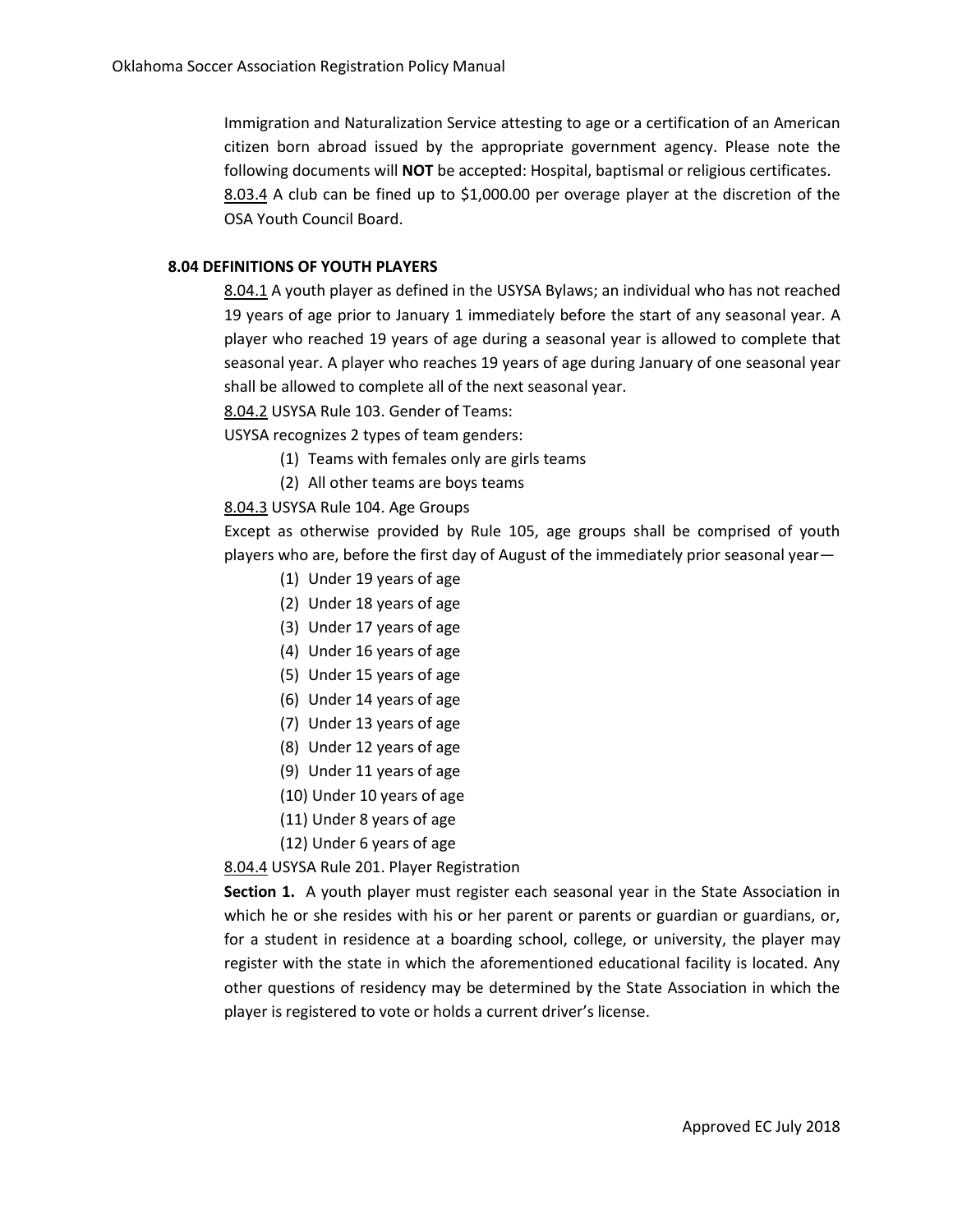Immigration and Naturalization Service attesting to age or a certification of an American citizen born abroad issued by the appropriate government agency. Please note the following documents will **NOT** be accepted: Hospital, baptismal or religious certificates. 8.03.4 A club can be fined up to \$1,000.00 per overage player at the discretion of the OSA Youth Council Board.

## **8.04 DEFINITIONS OF YOUTH PLAYERS**

8.04.1 A youth player as defined in the USYSA Bylaws; an individual who has not reached 19 years of age prior to January 1 immediately before the start of any seasonal year. A player who reached 19 years of age during a seasonal year is allowed to complete that seasonal year. A player who reaches 19 years of age during January of one seasonal year shall be allowed to complete all of the next seasonal year.

8.04.2 USYSA Rule 103. Gender of Teams:

USYSA recognizes 2 types of team genders:

- (1) Teams with females only are girls teams
- (2) All other teams are boys teams

## 8.04.3 USYSA Rule 104. Age Groups

Except as otherwise provided by Rule 105, age groups shall be comprised of youth players who are, before the first day of August of the immediately prior seasonal year—

- (1) Under 19 years of age
- (2) Under 18 years of age
- (3) Under 17 years of age
- (4) Under 16 years of age
- (5) Under 15 years of age
- (6) Under 14 years of age
- (7) Under 13 years of age
- (8) Under 12 years of age
- (9) Under 11 years of age
- (10) Under 10 years of age
- (11) Under 8 years of age
- (12) Under 6 years of age

## 8.04.4 USYSA Rule 201. Player Registration

**Section 1.** A youth player must register each seasonal year in the State Association in which he or she resides with his or her parent or parents or guardian or guardians, or, for a student in residence at a boarding school, college, or university, the player may register with the state in which the aforementioned educational facility is located. Any other questions of residency may be determined by the State Association in which the player is registered to vote or holds a current driver's license.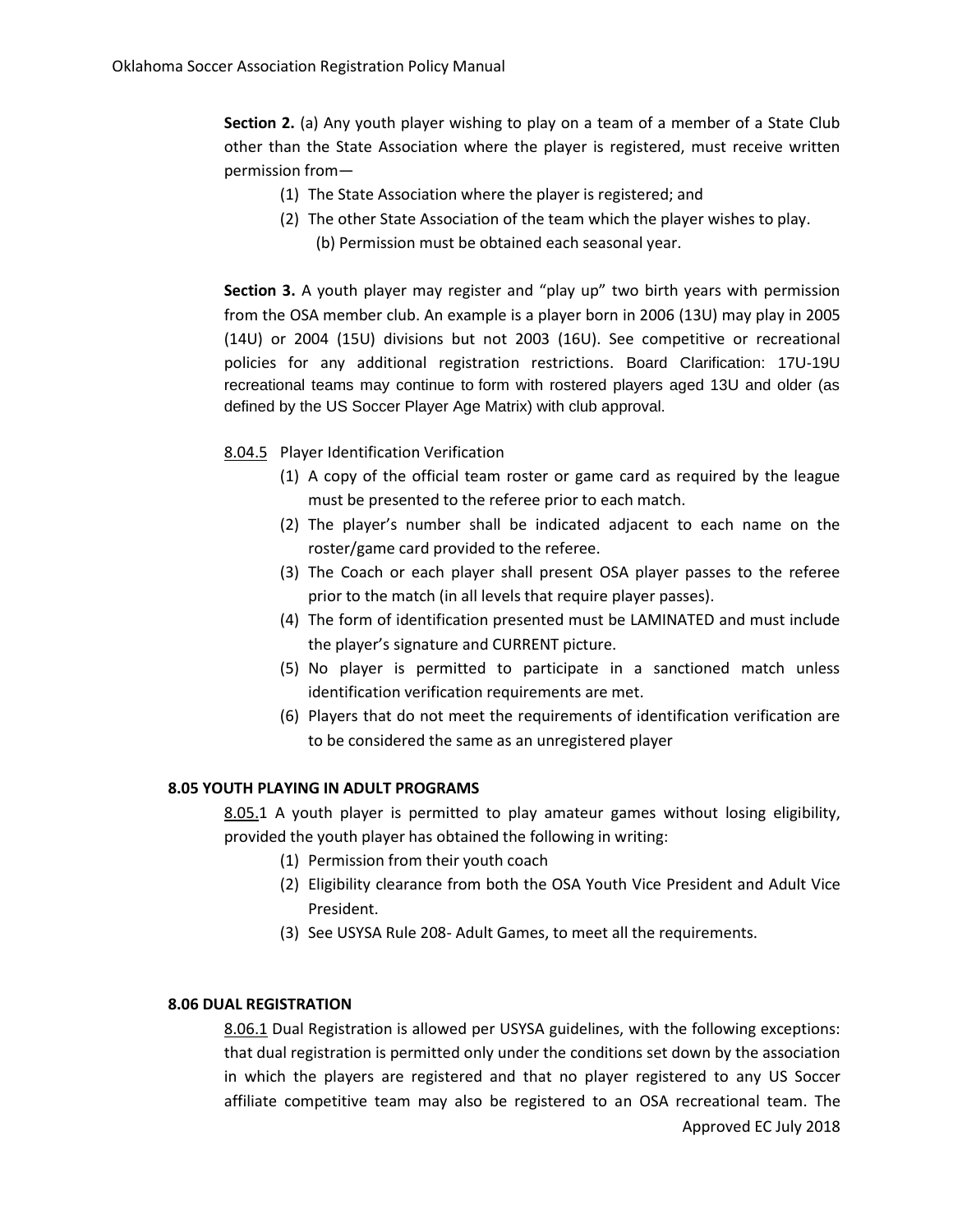**Section 2.** (a) Any youth player wishing to play on a team of a member of a State Club other than the State Association where the player is registered, must receive written permission from—

- (1) The State Association where the player is registered; and
- (2) The other State Association of the team which the player wishes to play. (b) Permission must be obtained each seasonal year.

**Section 3.** A youth player may register and "play up" two birth years with permission from the OSA member club. An example is a player born in 2006 (13U) may play in 2005 (14U) or 2004 (15U) divisions but not 2003 (16U). See competitive or recreational policies for any additional registration restrictions. Board Clarification: 17U-19U recreational teams may continue to form with rostered players aged 13U and older (as defined by the US Soccer Player Age Matrix) with club approval.

## 8.04.5 Player Identification Verification

- (1) A copy of the official team roster or game card as required by the league must be presented to the referee prior to each match.
- (2) The player's number shall be indicated adjacent to each name on the roster/game card provided to the referee.
- (3) The Coach or each player shall present OSA player passes to the referee prior to the match (in all levels that require player passes).
- (4) The form of identification presented must be LAMINATED and must include the player's signature and CURRENT picture.
- (5) No player is permitted to participate in a sanctioned match unless identification verification requirements are met.
- (6) Players that do not meet the requirements of identification verification are to be considered the same as an unregistered player

#### **8.05 YOUTH PLAYING IN ADULT PROGRAMS**

8.05.1 A youth player is permitted to play amateur games without losing eligibility, provided the youth player has obtained the following in writing:

- (1) Permission from their youth coach
- (2) Eligibility clearance from both the OSA Youth Vice President and Adult Vice President.
- (3) See USYSA Rule 208- Adult Games, to meet all the requirements.

#### **8.06 DUAL REGISTRATION**

Approved EC July 2018 8.06.1 Dual Registration is allowed per USYSA guidelines, with the following exceptions: that dual registration is permitted only under the conditions set down by the association in which the players are registered and that no player registered to any US Soccer affiliate competitive team may also be registered to an OSA recreational team. The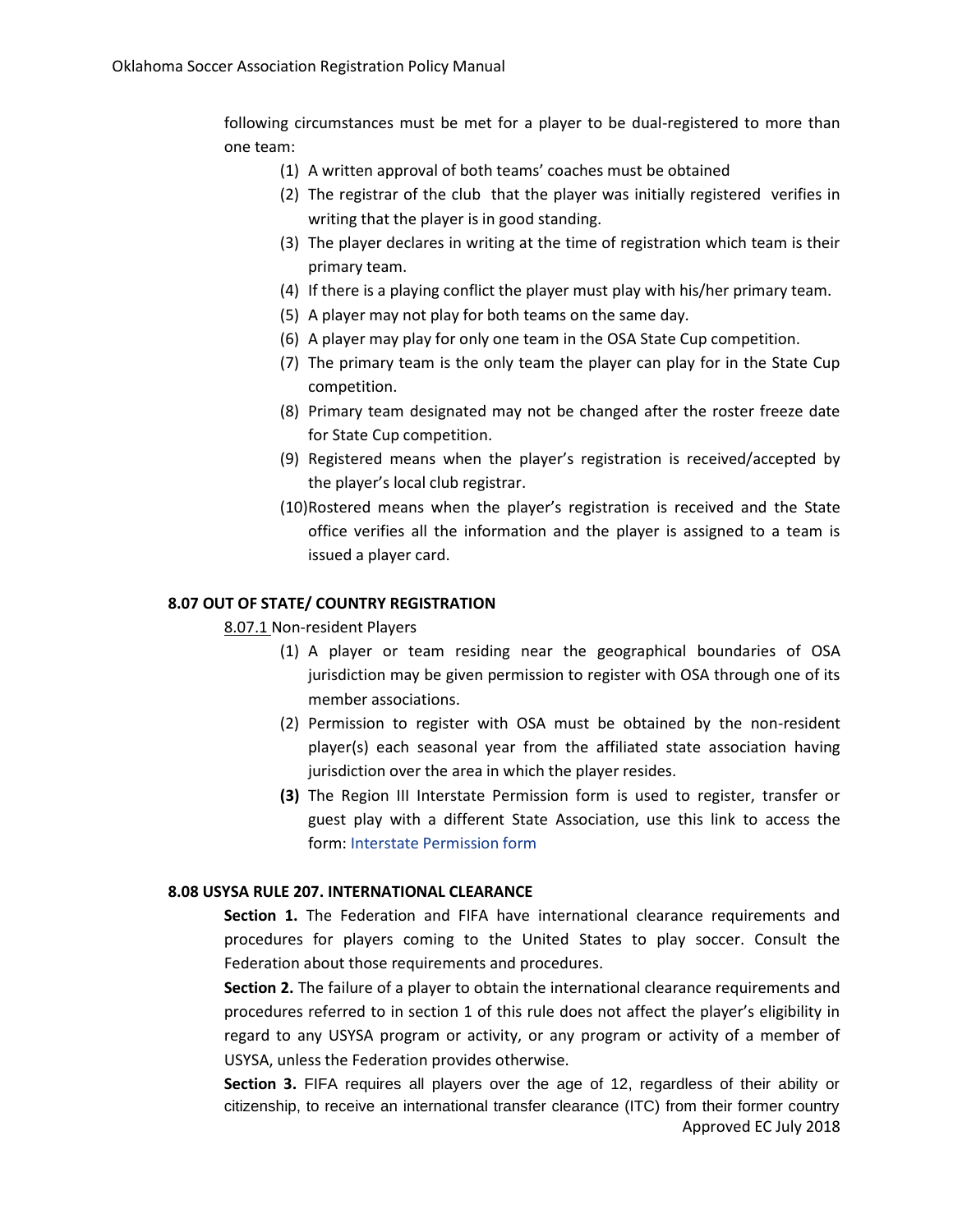following circumstances must be met for a player to be dual-registered to more than one team:

- (1) A written approval of both teams' coaches must be obtained
- (2) The registrar of the club that the player was initially registered verifies in writing that the player is in good standing.
- (3) The player declares in writing at the time of registration which team is their primary team.
- (4) If there is a playing conflict the player must play with his/her primary team.
- (5) A player may not play for both teams on the same day.
- (6) A player may play for only one team in the OSA State Cup competition.
- (7) The primary team is the only team the player can play for in the State Cup competition.
- (8) Primary team designated may not be changed after the roster freeze date for State Cup competition.
- (9) Registered means when the player's registration is received/accepted by the player's local club registrar.
- (10)Rostered means when the player's registration is received and the State office verifies all the information and the player is assigned to a team is issued a player card.

## **8.07 OUT OF STATE/ COUNTRY REGISTRATION**

#### 8.07.1 Non-resident Players

- (1) A player or team residing near the geographical boundaries of OSA jurisdiction may be given permission to register with OSA through one of its member associations.
- (2) Permission to register with OSA must be obtained by the non-resident player(s) each seasonal year from the affiliated state association having jurisdiction over the area in which the player resides.
- **(3)** The Region III Interstate Permission form is used to register, transfer or guest play with a different State Association, use this link to access the form: Interstate Permission form

#### **8.08 USYSA RULE 207. INTERNATIONAL CLEARANCE**

**Section 1.** The Federation and FIFA have international clearance requirements and procedures for players coming to the United States to play soccer. Consult the Federation about those requirements and procedures.

**Section 2.** The failure of a player to obtain the international clearance requirements and procedures referred to in section 1 of this rule does not affect the player's eligibility in regard to any USYSA program or activity, or any program or activity of a member of USYSA, unless the Federation provides otherwise.

Approved EC July 2018 **Section 3.** FIFA requires all players over the age of 12, regardless of their ability or citizenship, to receive an international transfer clearance (ITC) from their former country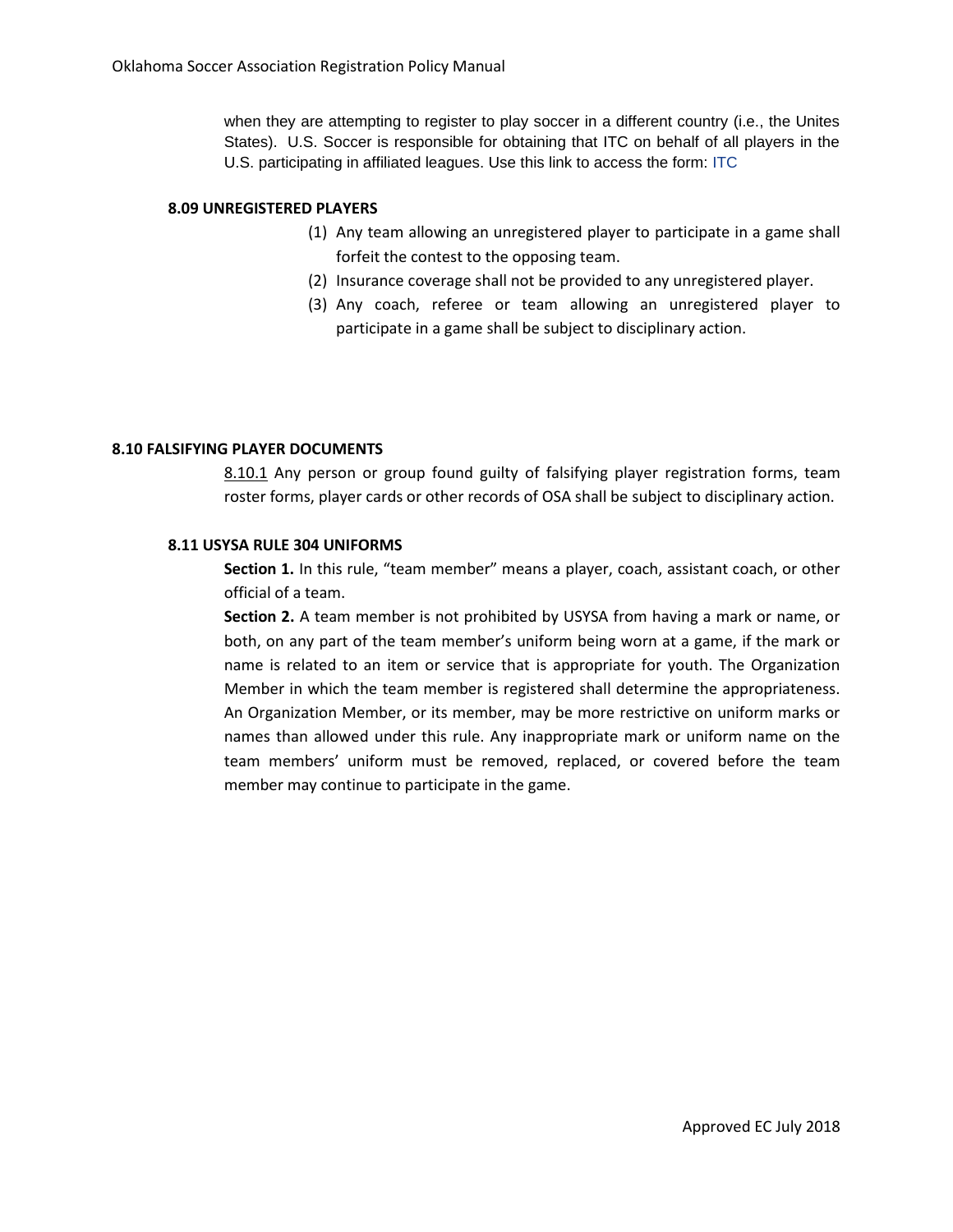when they are attempting to register to play soccer in a different country (i.e., the Unites States). U.S. Soccer is responsible for obtaining that ITC on behalf of all players in the U.S. participating in affiliated leagues. Use this link to access the form: [ITC](http://www.ussoccer.com/About/Federation-Services/Intl-Clearance.aspx)

#### **8.09 UNREGISTERED PLAYERS**

- (1) Any team allowing an unregistered player to participate in a game shall forfeit the contest to the opposing team.
- (2) Insurance coverage shall not be provided to any unregistered player.
- (3) Any coach, referee or team allowing an unregistered player to participate in a game shall be subject to disciplinary action.

#### **8.10 FALSIFYING PLAYER DOCUMENTS**

8.10.1 Any person or group found guilty of falsifying player registration forms, team roster forms, player cards or other records of OSA shall be subject to disciplinary action.

## **8.11 USYSA RULE 304 UNIFORMS**

**Section 1.** In this rule, "team member" means a player, coach, assistant coach, or other official of a team.

**Section 2.** A team member is not prohibited by USYSA from having a mark or name, or both, on any part of the team member's uniform being worn at a game, if the mark or name is related to an item or service that is appropriate for youth. The Organization Member in which the team member is registered shall determine the appropriateness. An Organization Member, or its member, may be more restrictive on uniform marks or names than allowed under this rule. Any inappropriate mark or uniform name on the team members' uniform must be removed, replaced, or covered before the team member may continue to participate in the game.